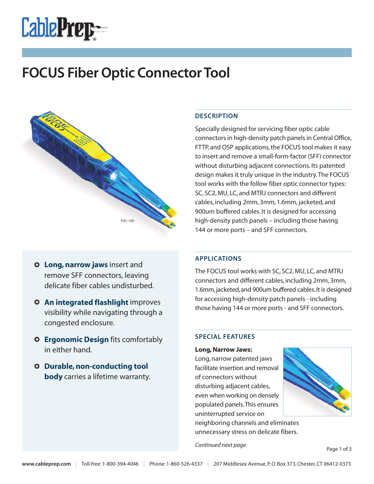

# **FOCUS Fiber Optic Connector Tool**



- **O** Long, narrow jaws insert and remove SFF connectors, leaving delicate fiber cables undisturbed.
- **An integrated flashlight** improves visibility while navigating through a congested enclosure.
- **Ergonomic Design** fits comfortably in either hand.
- **Durable,non-conducting tool body** carries a lifetime warranty.

## **DESCRIPTION**

Specially designed for servicing fiber optic cable connectors in high-density patch panels in Central Office, FTTP, and OSP applications,the FOCUS tool makes it easy to insert and remove a small-form-factor (SFF) connector without disturbing adjacent connections. Its patented design makes it truly unique in the industry.The FOCUS tool works with the follow fiber optic connector types: SC, SC2, MU, LC, and MTRJ connectors and different cables, including 2mm, 3mm, 1.6mm, jacketed, and 900um buffered cables. It is designed for accessing high-density patch panels – including those having 144 or more ports – and SFF connectors.

## **APPLICATIONS**

The FOCUS tool works with SC, SC2, MU, LC, and MTRJ connectors and different cables, including 2mm, 3mm, 1.6mm, jacketed, and 900um buffered cables. It is designed for accessing high-density patch panels - including those having 144 or more ports - and SFF connectors.

## **SPECIAL FEATURES**

**Long,Narrow Jaws:** Long, narrow patented jaws facilitate insertion and removal of connectors without disturbing adjacent cables, even when working on densely populated panels.This ensures uninterrupted service on

neighboring channels and eliminates unnecessary stress on delicate fibers.

*Continued next page*

Page 1 of 3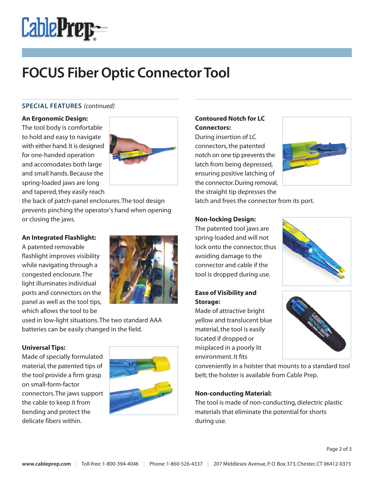

# **FOCUS Fiber Optic Connector Tool**

### **SPECIAL FEATURES** *(continued)*

#### **An Ergonomic Design:**

The tool body is comfortable to hold and easy to navigate with either hand.It is designed for one-handed operation and accomodates both large and small hands. Because the spring-loaded jaws are long and tapered, they easily reach



the back of patch-panel enclosures.The tool design prevents pinching the operator's hand when opening or closing the jaws.

### **An Integrated Flashlight:**

A patented removable flashlight improves visibility while navigating through a congested enclosure.The light illuminates individual ports and connectors on the panel as well as the tool tips, which allows the tool to be



used in low-light situations.The two standard AAA batteries can be easily changed in the field.

## **Universal Tips:**

Made of specially formulated material, the patented tips of the tool provide a firm grasp on small-form-factor connectors.The jaws support the cable to keep it from bending and protect the delicate fibers within.



# **Contoured Notch for LC Connectors:**

During insertion of LC connectors, the patented notch on one tip prevents the latch from being depressed, ensuring positive latching of the connector.During removal, the straight tip depresses the



latch and frees the connector from its port.

### **Non-locking Design:**

The patented tool jaws are spring-loaded and will not lock onto the connector, thus avoiding damage to the connector and cable if the tool is dropped during use.

## **Ease of Visibility and Storage:**

Made of attractive bright yellow and translucent blue material, the tool is easily located if dropped or misplaced in a poorly lit environment. It fits

conveniently in a holster that mounts to a standard tool belt; the holster is available from Cable Prep.

## **Non-conducting Material:**

The tool is made of non-conducting, dielectric plastic materials that eliminate the potential for shorts during use.